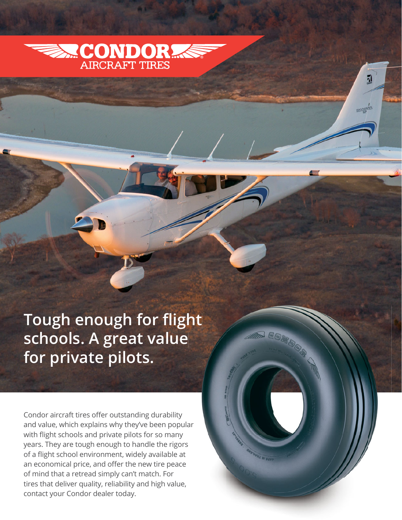

И

Tough enough for flight<br>schools. A great value **schools. A great value for private pilots.**

Condor aircraft tires offer outstanding durability and value, which explains why they've been popular with flight schools and private pilots for so many years. They are tough enough to handle the rigors of a flight school environment, widely available at an economical price, and offer the new tire peace of mind that a retread simply can't match. For tires that deliver quality, reliability and high value, contact your Condor dealer today. ors<br>at<br>ice